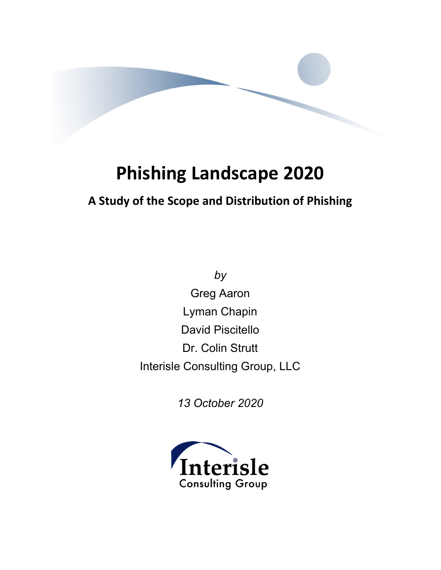

# **Phishing Landscape 2020**

## **A Study of the Scope and Distribution of Phishing**

*by* Greg Aaron Lyman Chapin David Piscitello Dr. Colin Strutt Interisle Consulting Group, LLC

*13 October 2020*

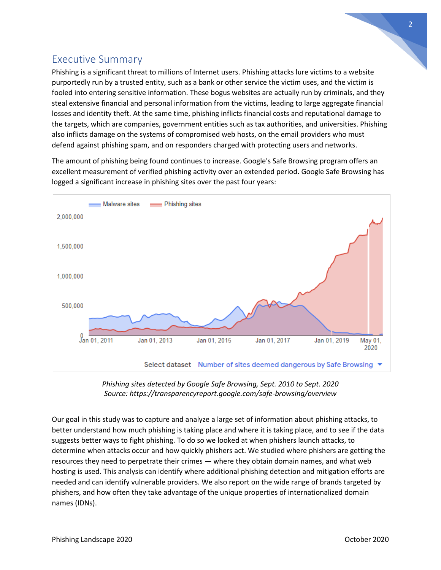## Executive Summary

Phishing is a significant threat to millions of Internet users. Phishing attacks lure victims to a website purportedly run by a trusted entity, such as a bank or other service the victim uses, and the victim is fooled into entering sensitive information. These bogus websites are actually run by criminals, and they steal extensive financial and personal information from the victims, leading to large aggregate financial losses and identity theft. At the same time, phishing inflicts financial costs and reputational damage to the targets, which are companies, government entities such as tax authorities, and universities. Phishing also inflicts damage on the systems of compromised web hosts, on the email providers who must defend against phishing spam, and on responders charged with protecting users and networks.

The amount of phishing being found continues to increase. Google's Safe Browsing program offers an excellent measurement of verified phishing activity over an extended period. Google Safe Browsing has logged a significant increase in phishing sites over the past four years:





Our goal in this study was to capture and analyze a large set of information about phishing attacks, to better understand how much phishing is taking place and where it is taking place, and to see if the data suggests better ways to fight phishing. To do so we looked at when phishers launch attacks, to determine when attacks occur and how quickly phishers act. We studied where phishers are getting the resources they need to perpetrate their crimes — where they obtain domain names, and what web hosting is used. This analysis can identify where additional phishing detection and mitigation efforts are needed and can identify vulnerable providers. We also report on the wide range of brands targeted by phishers, and how often they take advantage of the unique properties of internationalized domain names (IDNs).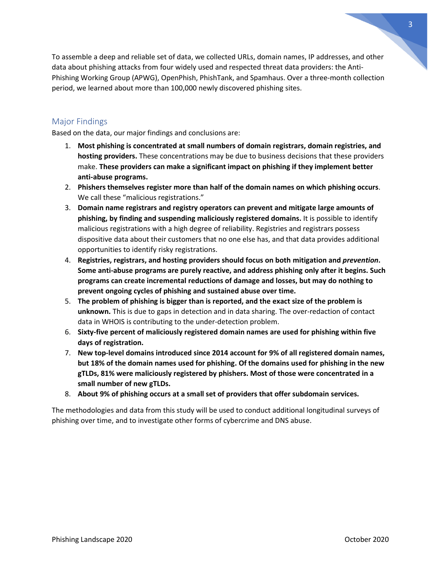To assemble a deep and reliable set of data, we collected URLs, domain names, IP addresses, and other data about phishing attacks from four widely used and respected threat data providers: the Anti-Phishing Working Group (APWG), OpenPhish, PhishTank, and Spamhaus. Over a three-month collection period, we learned about more than 100,000 newly discovered phishing sites.

#### Major Findings

Based on the data, our major findings and conclusions are:

- 1. **Most phishing is concentrated at small numbers of domain registrars, domain registries, and hosting providers.** These concentrations may be due to business decisions that these providers make. **These providers can make a significant impact on phishing if they implement better anti-abuse programs.**
- 2. **Phishers themselves register more than half of the domain names on which phishing occurs**. We call these "malicious registrations."
- 3. **Domain name registrars and registry operators can prevent and mitigate large amounts of phishing, by finding and suspending maliciously registered domains.** It is possible to identify malicious registrations with a high degree of reliability. Registries and registrars possess dispositive data about their customers that no one else has, and that data provides additional opportunities to identify risky registrations.
- 4. **Registries, registrars, and hosting providers should focus on both mitigation and** *prevention***. Some anti-abuse programs are purely reactive, and address phishing only after it begins. Such programs can create incremental reductions of damage and losses, but may do nothing to prevent ongoing cycles of phishing and sustained abuse over time.**
- 5. **The problem of phishing is bigger than is reported, and the exact size of the problem is unknown.** This is due to gaps in detection and in data sharing. The over-redaction of contact data in WHOIS is contributing to the under-detection problem.
- 6. **Sixty-five percent of maliciously registered domain names are used for phishing within five days of registration.**
- 7. **New top-level domains introduced since 2014 account for 9% of all registered domain names, but 18% of the domain names used for phishing. Of the domains used for phishing in the new gTLDs, 81% were maliciously registered by phishers. Most of those were concentrated in a small number of new gTLDs.**
- 8. **About 9% of phishing occurs at a small set of providers that offer subdomain services.**

The methodologies and data from this study will be used to conduct additional longitudinal surveys of phishing over time, and to investigate other forms of cybercrime and DNS abuse.